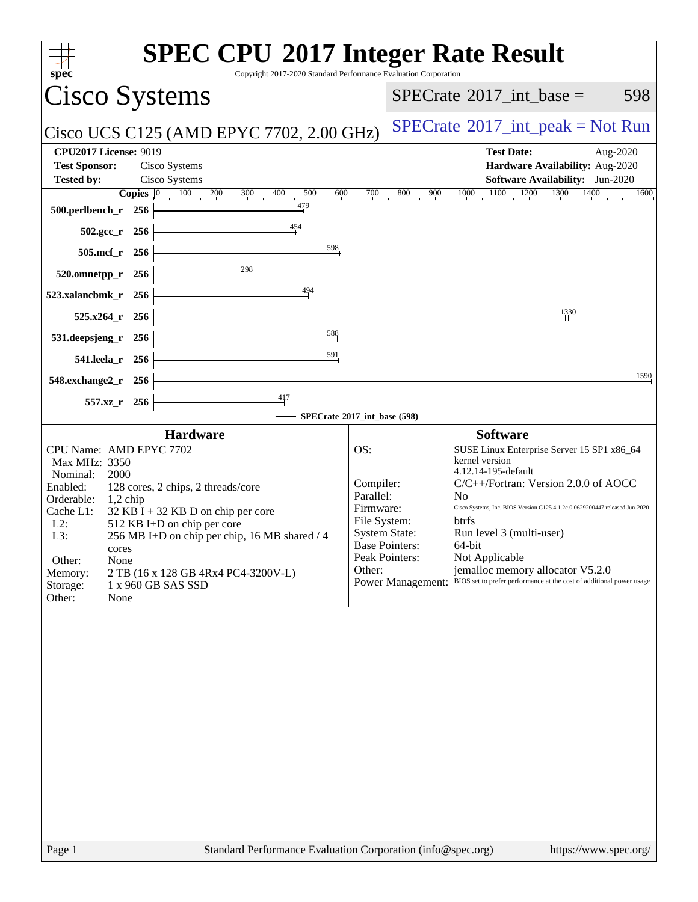| spec<br>Copyright 2017-2020 Standard Performance Evaluation Corporation                                                                                                                                                                                                                                                                                                                                                                              | <b>SPEC CPU®2017 Integer Rate Result</b>                                                                                                                                                                                                                                                                                                                                                                                                                                                                                                                                                               |
|------------------------------------------------------------------------------------------------------------------------------------------------------------------------------------------------------------------------------------------------------------------------------------------------------------------------------------------------------------------------------------------------------------------------------------------------------|--------------------------------------------------------------------------------------------------------------------------------------------------------------------------------------------------------------------------------------------------------------------------------------------------------------------------------------------------------------------------------------------------------------------------------------------------------------------------------------------------------------------------------------------------------------------------------------------------------|
| <b>Cisco Systems</b>                                                                                                                                                                                                                                                                                                                                                                                                                                 | 598<br>$SPECrate^{\circledast}2017\_int\_base =$                                                                                                                                                                                                                                                                                                                                                                                                                                                                                                                                                       |
| Cisco UCS C125 (AMD EPYC 7702, 2.00 GHz)                                                                                                                                                                                                                                                                                                                                                                                                             | $SPECrate^{\circledast}2017\_int\_peak = Not Run$                                                                                                                                                                                                                                                                                                                                                                                                                                                                                                                                                      |
| <b>CPU2017 License: 9019</b><br><b>Test Sponsor:</b><br>Cisco Systems                                                                                                                                                                                                                                                                                                                                                                                | <b>Test Date:</b><br>Aug-2020<br>Hardware Availability: Aug-2020                                                                                                                                                                                                                                                                                                                                                                                                                                                                                                                                       |
| Cisco Systems<br><b>Tested by:</b>                                                                                                                                                                                                                                                                                                                                                                                                                   | <b>Software Availability:</b> Jun-2020                                                                                                                                                                                                                                                                                                                                                                                                                                                                                                                                                                 |
| $100 \t 200$<br>300<br>400<br>500<br>600<br>Copies $ 0\rangle$<br>479<br>500.perlbench_r 256                                                                                                                                                                                                                                                                                                                                                         | $900 \t 1000 \t 1100 \t 1200 \t 1300 \t 1400$<br>700<br>800<br>$\overline{1600}$                                                                                                                                                                                                                                                                                                                                                                                                                                                                                                                       |
| 454<br>502.gcc_r 256                                                                                                                                                                                                                                                                                                                                                                                                                                 |                                                                                                                                                                                                                                                                                                                                                                                                                                                                                                                                                                                                        |
| 598<br>505.mcf_r 256                                                                                                                                                                                                                                                                                                                                                                                                                                 |                                                                                                                                                                                                                                                                                                                                                                                                                                                                                                                                                                                                        |
| 298<br>520.omnetpp_r 256                                                                                                                                                                                                                                                                                                                                                                                                                             |                                                                                                                                                                                                                                                                                                                                                                                                                                                                                                                                                                                                        |
| 494<br>523.xalancbmk_r 256                                                                                                                                                                                                                                                                                                                                                                                                                           |                                                                                                                                                                                                                                                                                                                                                                                                                                                                                                                                                                                                        |
| 525.x264 r 256                                                                                                                                                                                                                                                                                                                                                                                                                                       | 1330                                                                                                                                                                                                                                                                                                                                                                                                                                                                                                                                                                                                   |
| 588<br>531.deepsjeng_r<br>256                                                                                                                                                                                                                                                                                                                                                                                                                        |                                                                                                                                                                                                                                                                                                                                                                                                                                                                                                                                                                                                        |
| 591<br>541.leela_r 256                                                                                                                                                                                                                                                                                                                                                                                                                               |                                                                                                                                                                                                                                                                                                                                                                                                                                                                                                                                                                                                        |
| 548.exchange2_r 256                                                                                                                                                                                                                                                                                                                                                                                                                                  | 1590                                                                                                                                                                                                                                                                                                                                                                                                                                                                                                                                                                                                   |
| $\frac{417}{ }$<br>557.xz_r 256                                                                                                                                                                                                                                                                                                                                                                                                                      |                                                                                                                                                                                                                                                                                                                                                                                                                                                                                                                                                                                                        |
|                                                                                                                                                                                                                                                                                                                                                                                                                                                      | SPECrate*2017_int_base (598)                                                                                                                                                                                                                                                                                                                                                                                                                                                                                                                                                                           |
| <b>Hardware</b><br>CPU Name: AMD EPYC 7702<br>Max MHz: 3350<br>2000<br>Nominal:<br>Enabled:<br>128 cores, 2 chips, 2 threads/core<br>Orderable:<br>$1,2$ chip<br>Cache L1:<br>$32$ KB I + 32 KB D on chip per core<br>$L2$ :<br>512 KB I+D on chip per core<br>L3:<br>256 MB I+D on chip per chip, 16 MB shared / 4<br>cores<br>Other:<br>None<br>Memory:<br>2 TB (16 x 128 GB 4Rx4 PC4-3200V-L)<br>Storage:<br>1 x 960 GB SAS SSD<br>Other:<br>None | <b>Software</b><br>OS:<br>SUSE Linux Enterprise Server 15 SP1 x86_64<br>kernel version<br>4.12.14-195-default<br>Compiler:<br>$C/C++/Fortran$ : Version 2.0.0 of AOCC<br>Parallel:<br>N <sub>0</sub><br>Firmware:<br>Cisco Systems, Inc. BIOS Version C125.4.1.2c.0.0629200447 released Jun-2020<br>File System:<br>btrfs<br><b>System State:</b><br>Run level 3 (multi-user)<br><b>Base Pointers:</b><br>64-bit<br>Peak Pointers:<br>Not Applicable<br>Other:<br>jemalloc memory allocator V5.2.0<br>BIOS set to prefer performance at the cost of additional power usage<br><b>Power Management:</b> |
|                                                                                                                                                                                                                                                                                                                                                                                                                                                      |                                                                                                                                                                                                                                                                                                                                                                                                                                                                                                                                                                                                        |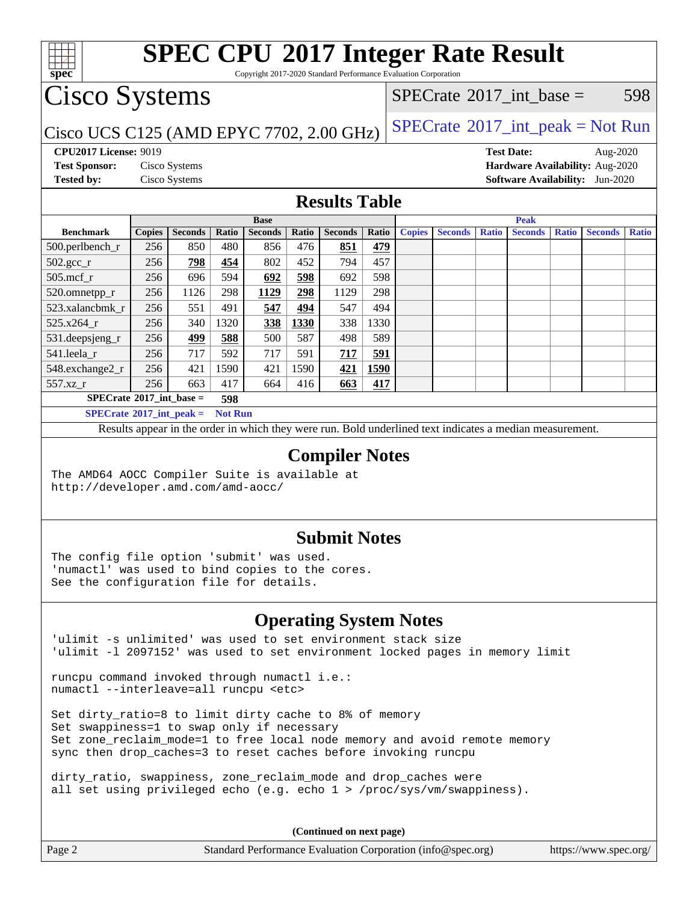

Copyright 2017-2020 Standard Performance Evaluation Corporation

## Cisco Systems

### $SPECTate$ <sup>®</sup>[2017\\_int\\_base =](http://www.spec.org/auto/cpu2017/Docs/result-fields.html#SPECrate2017intbase) 598

### Cisco UCS C125 (AMD EPYC 7702, 2.00 GHz)  $SPECrate^{\circ}2017\_int\_peak = Not Run$  $SPECrate^{\circ}2017\_int\_peak = Not Run$

**[spec](http://www.spec.org/)**

**[CPU2017 License:](http://www.spec.org/auto/cpu2017/Docs/result-fields.html#CPU2017License)** 9019 **[Test Date:](http://www.spec.org/auto/cpu2017/Docs/result-fields.html#TestDate)** Aug-2020 **[Test Sponsor:](http://www.spec.org/auto/cpu2017/Docs/result-fields.html#TestSponsor)** Cisco Systems **[Hardware Availability:](http://www.spec.org/auto/cpu2017/Docs/result-fields.html#HardwareAvailability)** Aug-2020 **[Tested by:](http://www.spec.org/auto/cpu2017/Docs/result-fields.html#Testedby)** Cisco Systems **[Software Availability:](http://www.spec.org/auto/cpu2017/Docs/result-fields.html#SoftwareAvailability)** Jun-2020

#### **[Results Table](http://www.spec.org/auto/cpu2017/Docs/result-fields.html#ResultsTable)**

|                                              | <b>Base</b>   |                |                         |                |       |                | <b>Peak</b> |               |                |              |                |              |                |              |
|----------------------------------------------|---------------|----------------|-------------------------|----------------|-------|----------------|-------------|---------------|----------------|--------------|----------------|--------------|----------------|--------------|
| <b>Benchmark</b>                             | <b>Copies</b> | <b>Seconds</b> | Ratio                   | <b>Seconds</b> | Ratio | <b>Seconds</b> | Ratio       | <b>Copies</b> | <b>Seconds</b> | <b>Ratio</b> | <b>Seconds</b> | <b>Ratio</b> | <b>Seconds</b> | <b>Ratio</b> |
| 500.perlbench_r                              | 256           | 850            | 480                     | 856            | 476   | 851            | 479         |               |                |              |                |              |                |              |
| $502.\text{sec}$                             | 256           | 798            | 454                     | 802            | 452   | 794            | 457         |               |                |              |                |              |                |              |
| $505$ .mcf r                                 | 256           | 696            | 594                     | 692            | 598   | 692            | 598         |               |                |              |                |              |                |              |
| 520.omnetpp_r                                | 256           | 1126           | 298                     | 1129           | 298   | 1129           | 298         |               |                |              |                |              |                |              |
| 523.xalancbmk r                              | 256           | 551            | 491                     | 547            | 494   | 547            | 494         |               |                |              |                |              |                |              |
| 525.x264 r                                   | 256           | 340            | 1320                    | 338            | 1330  | 338            | 1330        |               |                |              |                |              |                |              |
| 531.deepsjeng_r                              | 256           | 499            | 588                     | 500            | 587   | 498            | 589         |               |                |              |                |              |                |              |
| 541.leela r                                  | 256           | 717            | 592                     | 717            | 591   | 717            | 591         |               |                |              |                |              |                |              |
| 548.exchange2_r                              | 256           | 421            | 1590                    | 421            | 1590  | 421            | 1590        |               |                |              |                |              |                |              |
| 557.xz r                                     | 256           | 663            | 417                     | 664            | 416   | 663            | 417         |               |                |              |                |              |                |              |
| $SPECrate^{\circ}2017\_int\_base =$<br>598   |               |                |                         |                |       |                |             |               |                |              |                |              |                |              |
| $CDFC_{\text{mod}}\sqrt{2017}$ int nools $-$ |               |                | $Nof$ D <sub>11</sub> n |                |       |                |             |               |                |              |                |              |                |              |

**[SPECrate](http://www.spec.org/auto/cpu2017/Docs/result-fields.html#SPECrate2017intpeak)[2017\\_int\\_peak =](http://www.spec.org/auto/cpu2017/Docs/result-fields.html#SPECrate2017intpeak) Not Run**

Results appear in the [order in which they were run](http://www.spec.org/auto/cpu2017/Docs/result-fields.html#RunOrder). Bold underlined text [indicates a median measurement](http://www.spec.org/auto/cpu2017/Docs/result-fields.html#Median).

### **[Compiler Notes](http://www.spec.org/auto/cpu2017/Docs/result-fields.html#CompilerNotes)**

The AMD64 AOCC Compiler Suite is available at <http://developer.amd.com/amd-aocc/>

### **[Submit Notes](http://www.spec.org/auto/cpu2017/Docs/result-fields.html#SubmitNotes)**

The config file option 'submit' was used. 'numactl' was used to bind copies to the cores. See the configuration file for details.

### **[Operating System Notes](http://www.spec.org/auto/cpu2017/Docs/result-fields.html#OperatingSystemNotes)**

'ulimit -s unlimited' was used to set environment stack size 'ulimit -l 2097152' was used to set environment locked pages in memory limit

runcpu command invoked through numactl i.e.: numactl --interleave=all runcpu <etc>

Set dirty\_ratio=8 to limit dirty cache to 8% of memory Set swappiness=1 to swap only if necessary Set zone\_reclaim\_mode=1 to free local node memory and avoid remote memory sync then drop\_caches=3 to reset caches before invoking runcpu

dirty\_ratio, swappiness, zone\_reclaim\_mode and drop\_caches were all set using privileged echo (e.g. echo 1 > /proc/sys/vm/swappiness).

**(Continued on next page)**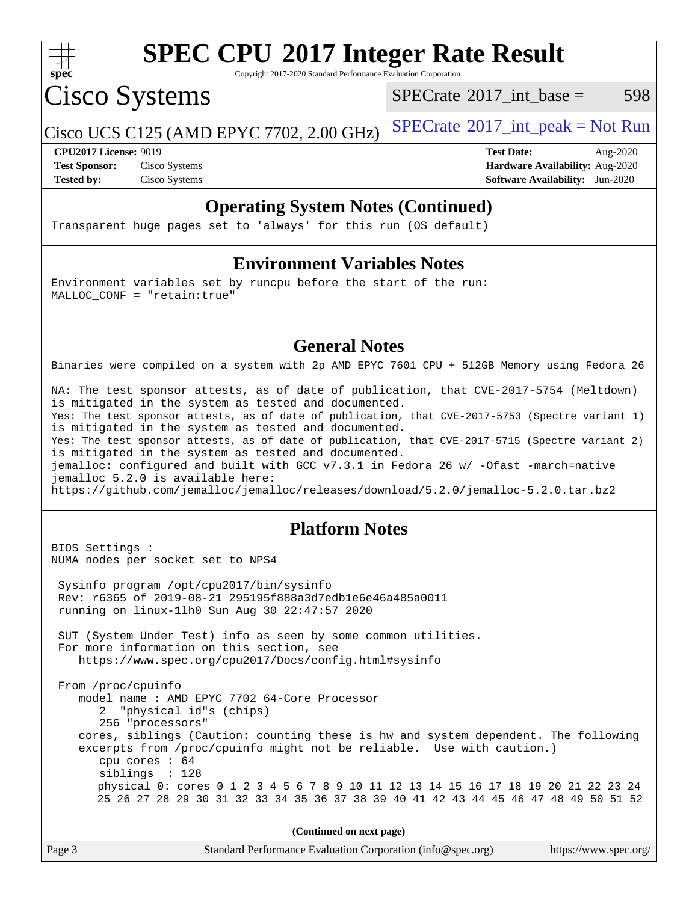

Copyright 2017-2020 Standard Performance Evaluation Corporation

Cisco Systems

[SPECrate](http://www.spec.org/auto/cpu2017/Docs/result-fields.html#SPECrate2017intbase)<sup>®</sup>2017 int base =  $598$ 

Cisco UCS C125 (AMD EPYC 7702, 2.00 GHz)  $SPECTate^{\circ}2017\_int\_peak = Not Run$ 

**[Tested by:](http://www.spec.org/auto/cpu2017/Docs/result-fields.html#Testedby)** Cisco Systems **[Software Availability:](http://www.spec.org/auto/cpu2017/Docs/result-fields.html#SoftwareAvailability)** Jun-2020

**[CPU2017 License:](http://www.spec.org/auto/cpu2017/Docs/result-fields.html#CPU2017License)** 9019 **[Test Date:](http://www.spec.org/auto/cpu2017/Docs/result-fields.html#TestDate)** Aug-2020 **[Test Sponsor:](http://www.spec.org/auto/cpu2017/Docs/result-fields.html#TestSponsor)** Cisco Systems **[Hardware Availability:](http://www.spec.org/auto/cpu2017/Docs/result-fields.html#HardwareAvailability)** Aug-2020

### **[Operating System Notes \(Continued\)](http://www.spec.org/auto/cpu2017/Docs/result-fields.html#OperatingSystemNotes)**

Transparent huge pages set to 'always' for this run (OS default)

#### **[Environment Variables Notes](http://www.spec.org/auto/cpu2017/Docs/result-fields.html#EnvironmentVariablesNotes)**

Environment variables set by runcpu before the start of the run: MALLOC\_CONF = "retain:true"

#### **[General Notes](http://www.spec.org/auto/cpu2017/Docs/result-fields.html#GeneralNotes)**

Binaries were compiled on a system with 2p AMD EPYC 7601 CPU + 512GB Memory using Fedora 26

NA: The test sponsor attests, as of date of publication, that CVE-2017-5754 (Meltdown) is mitigated in the system as tested and documented. Yes: The test sponsor attests, as of date of publication, that CVE-2017-5753 (Spectre variant 1) is mitigated in the system as tested and documented. Yes: The test sponsor attests, as of date of publication, that CVE-2017-5715 (Spectre variant 2) is mitigated in the system as tested and documented. jemalloc: configured and built with GCC v7.3.1 in Fedora 26 w/ -Ofast -march=native jemalloc 5.2.0 is available here: <https://github.com/jemalloc/jemalloc/releases/download/5.2.0/jemalloc-5.2.0.tar.bz2>

### **[Platform Notes](http://www.spec.org/auto/cpu2017/Docs/result-fields.html#PlatformNotes)**

BIOS Settings : NUMA nodes per socket set to NPS4

 Sysinfo program /opt/cpu2017/bin/sysinfo Rev: r6365 of 2019-08-21 295195f888a3d7edb1e6e46a485a0011 running on linux-1lh0 Sun Aug 30 22:47:57 2020

 SUT (System Under Test) info as seen by some common utilities. For more information on this section, see <https://www.spec.org/cpu2017/Docs/config.html#sysinfo>

 From /proc/cpuinfo model name : AMD EPYC 7702 64-Core Processor 2 "physical id"s (chips) 256 "processors" cores, siblings (Caution: counting these is hw and system dependent. The following excerpts from /proc/cpuinfo might not be reliable. Use with caution.) cpu cores : 64 siblings : 128 physical 0: cores 0 1 2 3 4 5 6 7 8 9 10 11 12 13 14 15 16 17 18 19 20 21 22 23 24 25 26 27 28 29 30 31 32 33 34 35 36 37 38 39 40 41 42 43 44 45 46 47 48 49 50 51 52

**(Continued on next page)**

| Page 3 | Standard Performance Evaluation Corporation (info@spec.org) | https://www.spec.org/ |
|--------|-------------------------------------------------------------|-----------------------|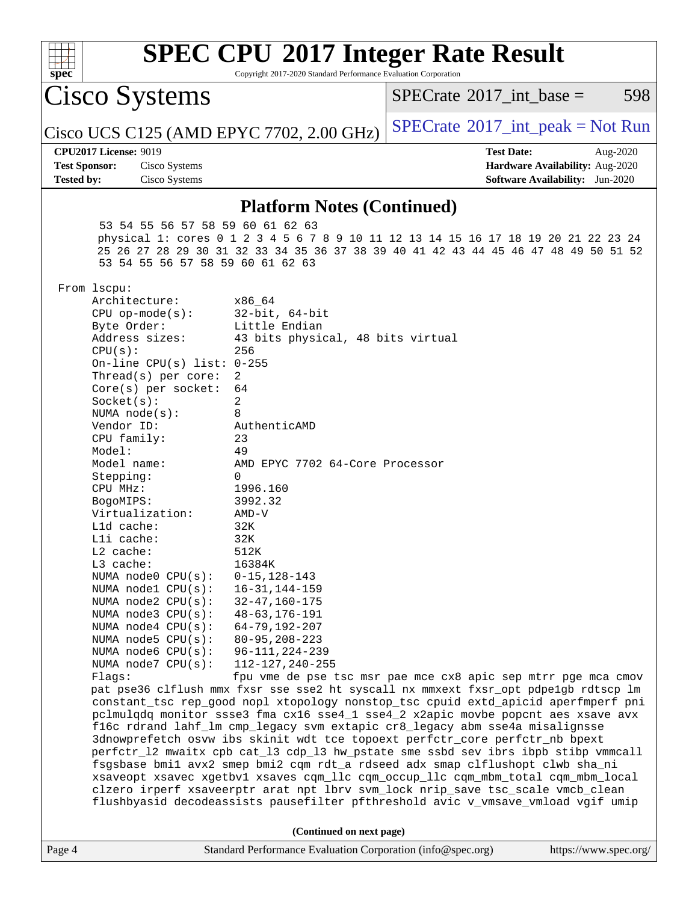| <b>SPEC CPU®2017 Integer Rate Result</b><br>Copyright 2017-2020 Standard Performance Evaluation Corporation<br>spec                                                                                                                                                                                                                                                                                                                                                                                                                                                                                                                                                                                                                                                                                                                                                                                                                                                                                                                                                                                                                                                                                                                                                                                                                                                                                                                                                                                                                                                                                                                                                                        |                                                                                                            |  |  |  |
|--------------------------------------------------------------------------------------------------------------------------------------------------------------------------------------------------------------------------------------------------------------------------------------------------------------------------------------------------------------------------------------------------------------------------------------------------------------------------------------------------------------------------------------------------------------------------------------------------------------------------------------------------------------------------------------------------------------------------------------------------------------------------------------------------------------------------------------------------------------------------------------------------------------------------------------------------------------------------------------------------------------------------------------------------------------------------------------------------------------------------------------------------------------------------------------------------------------------------------------------------------------------------------------------------------------------------------------------------------------------------------------------------------------------------------------------------------------------------------------------------------------------------------------------------------------------------------------------------------------------------------------------------------------------------------------------|------------------------------------------------------------------------------------------------------------|--|--|--|
| Cisco Systems                                                                                                                                                                                                                                                                                                                                                                                                                                                                                                                                                                                                                                                                                                                                                                                                                                                                                                                                                                                                                                                                                                                                                                                                                                                                                                                                                                                                                                                                                                                                                                                                                                                                              | $SPECrate^{\circledast}2017\_int\_base =$<br>598                                                           |  |  |  |
| Cisco UCS C125 (AMD EPYC 7702, 2.00 GHz)                                                                                                                                                                                                                                                                                                                                                                                                                                                                                                                                                                                                                                                                                                                                                                                                                                                                                                                                                                                                                                                                                                                                                                                                                                                                                                                                                                                                                                                                                                                                                                                                                                                   | $SPECTate@2017_int\_peak = Not Run$                                                                        |  |  |  |
| <b>CPU2017 License: 9019</b><br><b>Test Sponsor:</b><br>Cisco Systems<br><b>Tested by:</b><br>Cisco Systems                                                                                                                                                                                                                                                                                                                                                                                                                                                                                                                                                                                                                                                                                                                                                                                                                                                                                                                                                                                                                                                                                                                                                                                                                                                                                                                                                                                                                                                                                                                                                                                | <b>Test Date:</b><br>Aug-2020<br>Hardware Availability: Aug-2020<br><b>Software Availability:</b> Jun-2020 |  |  |  |
|                                                                                                                                                                                                                                                                                                                                                                                                                                                                                                                                                                                                                                                                                                                                                                                                                                                                                                                                                                                                                                                                                                                                                                                                                                                                                                                                                                                                                                                                                                                                                                                                                                                                                            |                                                                                                            |  |  |  |
| <b>Platform Notes (Continued)</b><br>53 54 55 56 57 58 59 60 61 62 63<br>physical 1: cores 0 1 2 3 4 5 6 7 8 9 10 11 12 13 14 15 16 17 18 19 20 21 22 23 24<br>25 26 27 28 29 30 31 32 33 34 35 36 37 38 39 40 41 42 43 44 45 46 47 48 49 50 51 52<br>53 54 55 56 57 58 59 60 61 62 63<br>From lscpu:<br>Architecture:<br>x86_64<br>$CPU$ op-mode( $s$ ):<br>$32$ -bit, $64$ -bit<br>Byte Order:<br>Little Endian<br>Address sizes:<br>43 bits physical, 48 bits virtual<br>CPU(s):<br>256<br>On-line CPU(s) list: $0-255$<br>Thread( $s$ ) per core:<br>2<br>64<br>$Core(s)$ per socket:<br>2<br>Socket(s):<br>8<br>NUMA $node(s):$<br>Vendor ID:<br>AuthenticAMD<br>CPU family:<br>23<br>Model:<br>49<br>Model name:<br>AMD EPYC 7702 64-Core Processor<br>0<br>Stepping:<br>1996.160<br>CPU MHz:<br>BogoMIPS:<br>3992.32<br>Virtualization:<br>$AMD-V$<br>L1d cache:<br>32K<br>Lli cache:<br>32K<br>L2 cache:<br>512K<br>$L3$ cache:<br>16384K<br>NUMA node0 CPU(s):<br>$0 - 15, 128 - 143$<br>NUMA nodel CPU(s):<br>$16 - 31, 144 - 159$<br>NUMA node2 CPU(s):<br>$32 - 47, 160 - 175$<br>NUMA node3 CPU(s):<br>$48 - 63, 176 - 191$<br>NUMA node4 CPU(s):<br>$64 - 79, 192 - 207$<br>NUMA $node5$ $CPU(s):$<br>$80 - 95, 208 - 223$<br>NUMA node6 CPU(s):<br>$96 - 111, 224 - 239$<br>112-127, 240-255<br>NUMA node7 CPU(s):<br>Flags:<br>pat pse36 clflush mmx fxsr sse sse2 ht syscall nx mmxext fxsr_opt pdpe1gb rdtscp lm<br>constant_tsc rep_good nopl xtopology nonstop_tsc cpuid extd_apicid aperfmperf pni<br>pclmulqdq monitor ssse3 fma cx16 sse4_1 sse4_2 x2apic movbe popcnt aes xsave avx<br>f16c rdrand lahf_lm cmp_legacy svm extapic cr8_legacy abm sse4a misalignsse | fpu vme de pse tsc msr pae mce cx8 apic sep mtrr pge mca cmov                                              |  |  |  |
| 3dnowprefetch osvw ibs skinit wdt tce topoext perfctr_core perfctr_nb bpext<br>perfctr_12 mwaitx cpb cat_13 cdp_13 hw_pstate sme ssbd sev ibrs ibpb stibp vmmcall<br>fsgsbase bmil avx2 smep bmi2 cqm rdt_a rdseed adx smap clflushopt clwb sha_ni<br>xsaveopt xsavec xgetbvl xsaves cqm_llc cqm_occup_llc cqm_mbm_total cqm_mbm_local<br>clzero irperf xsaveerptr arat npt lbrv svm_lock nrip_save tsc_scale vmcb_clean                                                                                                                                                                                                                                                                                                                                                                                                                                                                                                                                                                                                                                                                                                                                                                                                                                                                                                                                                                                                                                                                                                                                                                                                                                                                   |                                                                                                            |  |  |  |
| flushbyasid decodeassists pausefilter pfthreshold avic v_vmsave_vmload vgif umip<br>(Continued on next page)                                                                                                                                                                                                                                                                                                                                                                                                                                                                                                                                                                                                                                                                                                                                                                                                                                                                                                                                                                                                                                                                                                                                                                                                                                                                                                                                                                                                                                                                                                                                                                               |                                                                                                            |  |  |  |
| Standard Performance Evaluation Corporation (info@spec.org)<br>Page 4                                                                                                                                                                                                                                                                                                                                                                                                                                                                                                                                                                                                                                                                                                                                                                                                                                                                                                                                                                                                                                                                                                                                                                                                                                                                                                                                                                                                                                                                                                                                                                                                                      | https://www.spec.org/                                                                                      |  |  |  |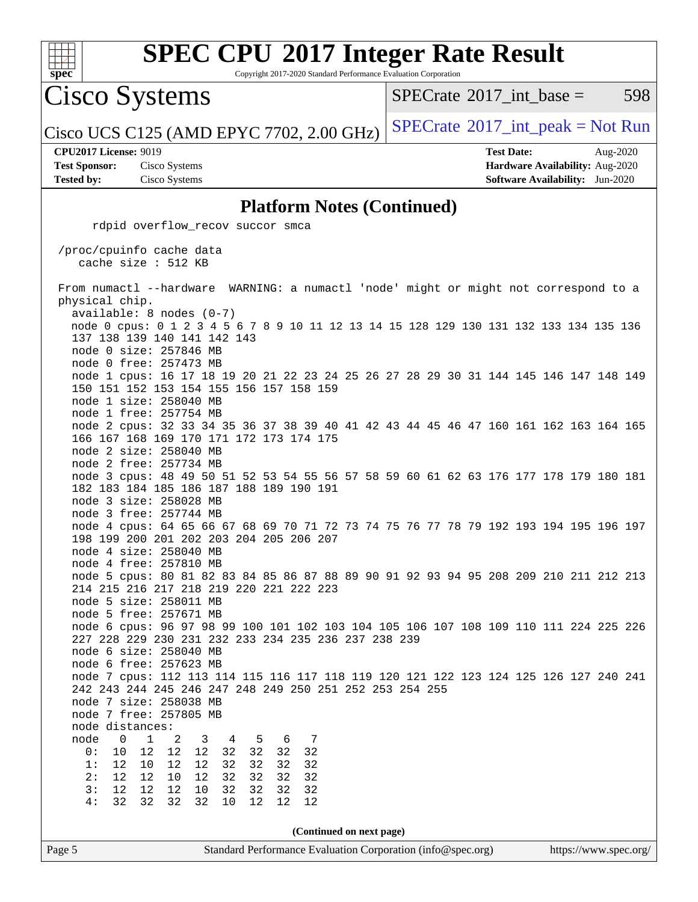

Copyright 2017-2020 Standard Performance Evaluation Corporation

Cisco Systems

 $SPECTate@2017\_int\_base = 598$ 

Cisco UCS C125 (AMD EPYC 7702, 2.00 GHz)  $SPECrate^{\circ}2017\_int\_peak = Not Run$  $SPECrate^{\circ}2017\_int\_peak = Not Run$ 

**[CPU2017 License:](http://www.spec.org/auto/cpu2017/Docs/result-fields.html#CPU2017License)** 9019 **[Test Date:](http://www.spec.org/auto/cpu2017/Docs/result-fields.html#TestDate)** Aug-2020

**[Test Sponsor:](http://www.spec.org/auto/cpu2017/Docs/result-fields.html#TestSponsor)** Cisco Systems **[Hardware Availability:](http://www.spec.org/auto/cpu2017/Docs/result-fields.html#HardwareAvailability)** Aug-2020 **[Tested by:](http://www.spec.org/auto/cpu2017/Docs/result-fields.html#Testedby)** Cisco Systems **[Software Availability:](http://www.spec.org/auto/cpu2017/Docs/result-fields.html#SoftwareAvailability)** Jun-2020

#### **[Platform Notes \(Continued\)](http://www.spec.org/auto/cpu2017/Docs/result-fields.html#PlatformNotes)**

| rdpid overflow_recov succor smca                                                                                                                                                                                                                                                                                                 |
|----------------------------------------------------------------------------------------------------------------------------------------------------------------------------------------------------------------------------------------------------------------------------------------------------------------------------------|
| /proc/cpuinfo cache data<br>cache size : 512 KB                                                                                                                                                                                                                                                                                  |
| From numactl --hardware WARNING: a numactl 'node' might or might not correspond to a<br>physical chip.                                                                                                                                                                                                                           |
| $available: 8 nodes (0-7)$<br>node 0 cpus: 0 1 2 3 4 5 6 7 8 9 10 11 12 13 14 15 128 129 130 131 132 133 134 135 136<br>137 138 139 140 141 142 143<br>node 0 size: 257846 MB                                                                                                                                                    |
| node 0 free: 257473 MB<br>node 1 cpus: 16 17 18 19 20 21 22 23 24 25 26 27 28 29 30 31 144 145 146 147 148 149<br>150 151 152 153 154 155 156 157 158 159<br>node 1 size: 258040 MB                                                                                                                                              |
| node 1 free: 257754 MB<br>node 2 cpus: 32 33 34 35 36 37 38 39 40 41 42 43 44 45 46 47 160 161 162 163 164 165<br>166 167 168 169 170 171 172 173 174 175<br>node 2 size: 258040 MB                                                                                                                                              |
| node 2 free: 257734 MB<br>node 3 cpus: 48 49 50 51 52 53 54 55 56 57 58 59 60 61 62 63 176 177 178 179 180 181<br>182 183 184 185 186 187 188 189 190 191<br>node 3 size: 258028 MB                                                                                                                                              |
| node 3 free: 257744 MB<br>node 4 cpus: 64 65 66 67 68 69 70 71 72 73 74 75 76 77 78 79 192 193 194 195 196 197<br>198 199 200 201 202 203 204 205 206 207<br>node 4 size: 258040 MB<br>node 4 free: 257810 MB                                                                                                                    |
| node 5 cpus: 80 81 82 83 84 85 86 87 88 89 90 91 92 93 94 95 208 209 210 211 212 213<br>214 215 216 217 218 219 220 221 222 223<br>node 5 size: 258011 MB<br>node 5 free: 257671 MB                                                                                                                                              |
| node 6 cpus: 96 97 98 99 100 101 102 103 104 105 106 107 108 109 110 111 224 225 226<br>227 228 229 230 231 232 233 234 235 236 237 238 239<br>node 6 size: 258040 MB<br>node 6 free: 257623 MB                                                                                                                                  |
| node 7 cpus: 112 113 114 115 116 117 118 119 120 121 122 123 124 125 126 127 240 241<br>242 243 244 245 246 247 248 249 250 251 252 253 254 255<br>node 7 size: 258038 MB<br>node 7 free: 257805 MB<br>node distances:                                                                                                           |
| 7<br>2<br>3<br>4<br>5<br>node<br>0<br>1<br>6<br>12<br>32<br>32<br>32<br>0:<br>10<br>12<br>$12$<br>32<br>12<br>32<br>32<br>32<br>1:<br>12<br>10<br>12<br>32<br>32<br>32<br>12<br>12<br>10<br>12<br>32<br>32<br>2:<br>12<br>$1\,2$<br>12<br>32<br>32<br>32<br>3:<br>10<br>32<br>32<br>32<br>12<br>4:<br>32<br>32<br>10<br>12<br>12 |
| (Continued on next page)                                                                                                                                                                                                                                                                                                         |
| Standard Performance Evaluation Corporation (info@spec.org)<br>https://www.spec.org/<br>Page 5                                                                                                                                                                                                                                   |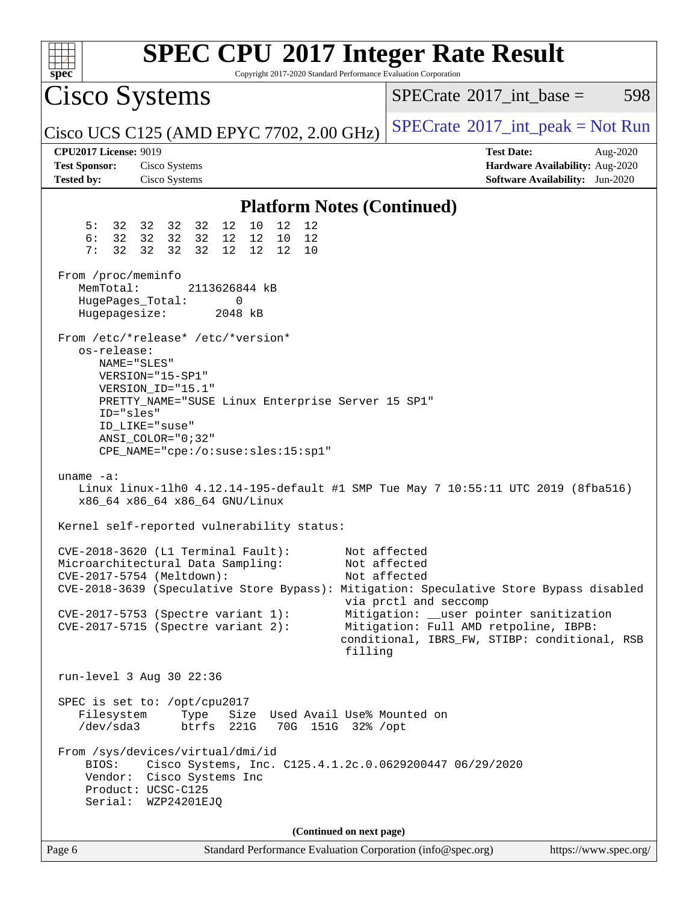| $spec^*$                                                                  | <b>SPEC CPU®2017 Integer Rate Result</b><br>Copyright 2017-2020 Standard Performance Evaluation Corporation                                                                                                                     |                                                                                                                                                                                                                                                                                                       |
|---------------------------------------------------------------------------|---------------------------------------------------------------------------------------------------------------------------------------------------------------------------------------------------------------------------------|-------------------------------------------------------------------------------------------------------------------------------------------------------------------------------------------------------------------------------------------------------------------------------------------------------|
| Cisco Systems                                                             |                                                                                                                                                                                                                                 | $SPECrate^{\circledast}2017\_int\_base =$<br>598                                                                                                                                                                                                                                                      |
|                                                                           | Cisco UCS C125 (AMD EPYC 7702, 2.00 GHz)                                                                                                                                                                                        | $SPECrate^{\circledast}2017\_int\_peak = Not Run$                                                                                                                                                                                                                                                     |
| <b>CPU2017 License: 9019</b><br><b>Test Sponsor:</b><br><b>Tested by:</b> | Cisco Systems<br>Cisco Systems                                                                                                                                                                                                  | <b>Test Date:</b><br>Aug-2020<br>Hardware Availability: Aug-2020<br>Software Availability: Jun-2020                                                                                                                                                                                                   |
|                                                                           | <b>Platform Notes (Continued)</b>                                                                                                                                                                                               |                                                                                                                                                                                                                                                                                                       |
| 5:<br>6:<br>7:<br>32                                                      | 32 32 32 32<br>12 10<br>12<br>12<br>32 32 32 32<br>12 12<br>10<br>12<br>32 32<br>32<br>12 12<br>12<br>10                                                                                                                        |                                                                                                                                                                                                                                                                                                       |
| From /proc/meminfo<br>MemTotal:<br>Hugepagesize:                          | 2113626844 kB<br>HugePages_Total:<br>0<br>2048 kB                                                                                                                                                                               |                                                                                                                                                                                                                                                                                                       |
| os-release:<br>ID="sles"                                                  | From /etc/*release* /etc/*version*<br>NAME="SLES"<br>VERSION="15-SP1"<br>VERSION_ID="15.1"<br>PRETTY_NAME="SUSE Linux Enterprise Server 15 SP1"<br>ID LIKE="suse"<br>$ANSI$ _COLOR="0;32"<br>CPE_NAME="cpe:/o:suse:sles:15:sp1" |                                                                                                                                                                                                                                                                                                       |
| uname $-a$ :                                                              | Linux linux-11h0 4.12.14-195-default #1 SMP Tue May 7 10:55:11 UTC 2019 (8fba516)<br>x86_64 x86_64 x86_64 GNU/Linux                                                                                                             |                                                                                                                                                                                                                                                                                                       |
|                                                                           | Kernel self-reported vulnerability status:                                                                                                                                                                                      |                                                                                                                                                                                                                                                                                                       |
|                                                                           | $CVE-2018-3620$ (L1 Terminal Fault):<br>Microarchitectural Data Sampling:<br>CVE-2017-5754 (Meltdown):<br>$CVE-2017-5753$ (Spectre variant 1):<br>CVE-2017-5715 (Spectre variant 2):<br>filling                                 | Not affected<br>Not affected<br>Not affected<br>CVE-2018-3639 (Speculative Store Bypass): Mitigation: Speculative Store Bypass disabled<br>via prctl and seccomp<br>Mitigation: __user pointer sanitization<br>Mitigation: Full AMD retpoline, IBPB:<br>conditional, IBRS_FW, STIBP: conditional, RSB |
|                                                                           | run-level 3 Aug 30 22:36                                                                                                                                                                                                        |                                                                                                                                                                                                                                                                                                       |
| Filesystem<br>$/\text{dev/sda}$ 3                                         | SPEC is set to: /opt/cpu2017<br>Type<br>Size Used Avail Use% Mounted on<br>btrfs 221G<br>70G 151G 32% / opt                                                                                                                     |                                                                                                                                                                                                                                                                                                       |
| BIOS:                                                                     | From /sys/devices/virtual/dmi/id<br>Cisco Systems, Inc. C125.4.1.2c.0.0629200447 06/29/2020<br>Vendor: Cisco Systems Inc<br>Product: UCSC-C125<br>Serial: WZP24201EJQ                                                           |                                                                                                                                                                                                                                                                                                       |
|                                                                           | (Continued on next page)                                                                                                                                                                                                        |                                                                                                                                                                                                                                                                                                       |
| Page 6                                                                    | Standard Performance Evaluation Corporation (info@spec.org)                                                                                                                                                                     | https://www.spec.org/                                                                                                                                                                                                                                                                                 |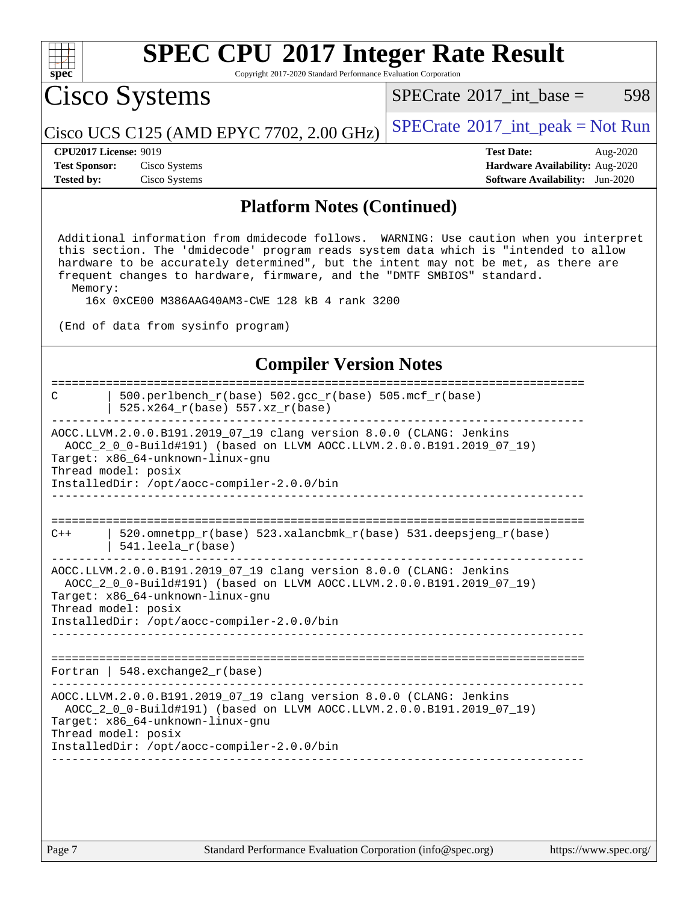

Copyright 2017-2020 Standard Performance Evaluation Corporation

Cisco Systems

 $SPECTate$ <sup>®</sup>[2017\\_int\\_base =](http://www.spec.org/auto/cpu2017/Docs/result-fields.html#SPECrate2017intbase) 598

Cisco UCS C125 (AMD EPYC 7702, 2.00 GHz)  $SPECrate^{\circ}2017\_int\_peak = Not Run$  $SPECrate^{\circ}2017\_int\_peak = Not Run$ 

**[CPU2017 License:](http://www.spec.org/auto/cpu2017/Docs/result-fields.html#CPU2017License)** 9019 **[Test Date:](http://www.spec.org/auto/cpu2017/Docs/result-fields.html#TestDate)** Aug-2020 **[Test Sponsor:](http://www.spec.org/auto/cpu2017/Docs/result-fields.html#TestSponsor)** Cisco Systems **[Hardware Availability:](http://www.spec.org/auto/cpu2017/Docs/result-fields.html#HardwareAvailability)** Aug-2020 **[Tested by:](http://www.spec.org/auto/cpu2017/Docs/result-fields.html#Testedby)** Cisco Systems **[Software Availability:](http://www.spec.org/auto/cpu2017/Docs/result-fields.html#SoftwareAvailability)** Jun-2020

#### **[Platform Notes \(Continued\)](http://www.spec.org/auto/cpu2017/Docs/result-fields.html#PlatformNotes)**

 Additional information from dmidecode follows. WARNING: Use caution when you interpret this section. The 'dmidecode' program reads system data which is "intended to allow hardware to be accurately determined", but the intent may not be met, as there are frequent changes to hardware, firmware, and the "DMTF SMBIOS" standard. Memory:

16x 0xCE00 M386AAG40AM3-CWE 128 kB 4 rank 3200

(End of data from sysinfo program)

#### **[Compiler Version Notes](http://www.spec.org/auto/cpu2017/Docs/result-fields.html#CompilerVersionNotes)**

| C                                                                                                                                                                                                                                                     | $500. perlbench_r(base) 502. gcc_r(base) 505. mcf_r(base)$<br>525.x264_r(base) 557.xz_r(base) |  |  |  |
|-------------------------------------------------------------------------------------------------------------------------------------------------------------------------------------------------------------------------------------------------------|-----------------------------------------------------------------------------------------------|--|--|--|
| AOCC.LLVM.2.0.0.B191.2019_07_19 clang version 8.0.0 (CLANG: Jenkins<br>AOCC_2_0_0-Build#191) (based on LLVM AOCC.LLVM.2.0.0.B191.2019_07_19)<br>Target: x86_64-unknown-linux-gnu<br>Thread model: posix<br>InstalledDir: /opt/aocc-compiler-2.0.0/bin |                                                                                               |  |  |  |
|                                                                                                                                                                                                                                                       |                                                                                               |  |  |  |
| $C++$                                                                                                                                                                                                                                                 | 520.omnetpp_r(base) 523.xalancbmk_r(base) 531.deepsjeng_r(base)<br>$541.$ leela $r(base)$     |  |  |  |
| AOCC.LLVM.2.0.0.B191.2019_07_19 clang version 8.0.0 (CLANG: Jenkins<br>AOCC_2_0_0-Build#191) (based on LLVM AOCC.LLVM.2.0.0.B191.2019_07_19)<br>Target: x86_64-unknown-linux-gnu<br>Thread model: posix<br>InstalledDir: /opt/aocc-compiler-2.0.0/bin |                                                                                               |  |  |  |
|                                                                                                                                                                                                                                                       | Fortran   548.exchange2 $r(base)$                                                             |  |  |  |
| AOCC.LLVM.2.0.0.B191.2019_07_19 clang version 8.0.0 (CLANG: Jenkins<br>AOCC_2_0_0-Build#191) (based on LLVM AOCC.LLVM.2.0.0.B191.2019_07_19)<br>Target: x86 64-unknown-linux-gnu<br>Thread model: posix<br>InstalledDir: /opt/aocc-compiler-2.0.0/bin |                                                                                               |  |  |  |
|                                                                                                                                                                                                                                                       |                                                                                               |  |  |  |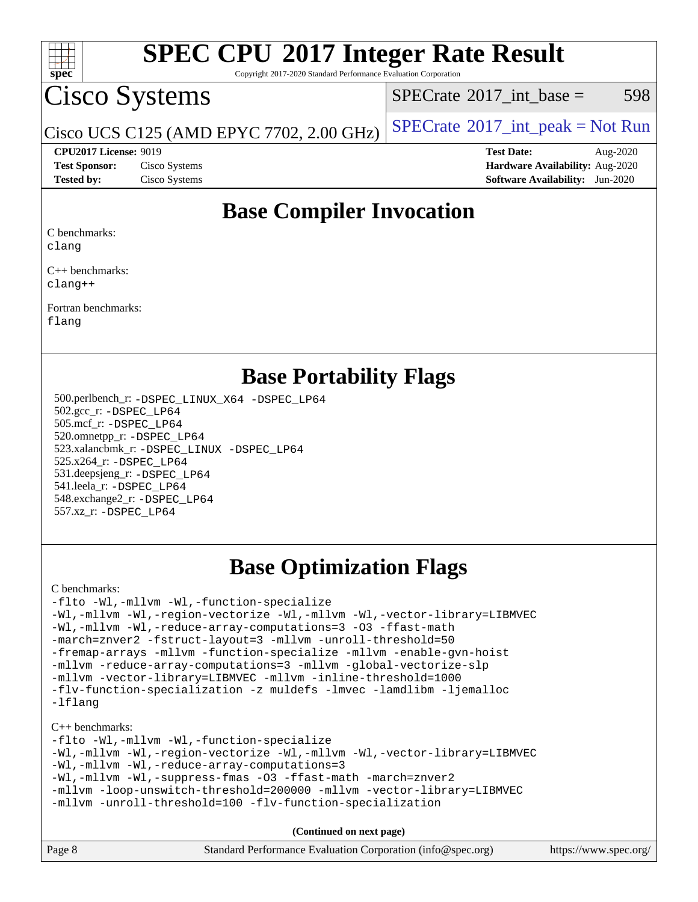

Copyright 2017-2020 Standard Performance Evaluation Corporation

### Cisco Systems

 $SPECTate@2017\_int\_base = 598$ 

Cisco UCS C125 (AMD EPYC 7702, 2.00 GHz)  $SPECrate^{\circ}2017\_int\_peak = Not Run$  $SPECrate^{\circ}2017\_int\_peak = Not Run$ 

**[CPU2017 License:](http://www.spec.org/auto/cpu2017/Docs/result-fields.html#CPU2017License)** 9019 **[Test Date:](http://www.spec.org/auto/cpu2017/Docs/result-fields.html#TestDate)** Aug-2020 **[Test Sponsor:](http://www.spec.org/auto/cpu2017/Docs/result-fields.html#TestSponsor)** Cisco Systems **[Hardware Availability:](http://www.spec.org/auto/cpu2017/Docs/result-fields.html#HardwareAvailability)** Aug-2020 **[Tested by:](http://www.spec.org/auto/cpu2017/Docs/result-fields.html#Testedby)** Cisco Systems **[Software Availability:](http://www.spec.org/auto/cpu2017/Docs/result-fields.html#SoftwareAvailability)** Jun-2020

### **[Base Compiler Invocation](http://www.spec.org/auto/cpu2017/Docs/result-fields.html#BaseCompilerInvocation)**

[C benchmarks:](http://www.spec.org/auto/cpu2017/Docs/result-fields.html#Cbenchmarks)

[clang](http://www.spec.org/cpu2017/results/res2020q3/cpu2017-20200831-23805.flags.html#user_CCbase_clang-c)

[C++ benchmarks](http://www.spec.org/auto/cpu2017/Docs/result-fields.html#CXXbenchmarks): [clang++](http://www.spec.org/cpu2017/results/res2020q3/cpu2017-20200831-23805.flags.html#user_CXXbase_clang-cpp)

[Fortran benchmarks:](http://www.spec.org/auto/cpu2017/Docs/result-fields.html#Fortranbenchmarks) [flang](http://www.spec.org/cpu2017/results/res2020q3/cpu2017-20200831-23805.flags.html#user_FCbase_flang)

### **[Base Portability Flags](http://www.spec.org/auto/cpu2017/Docs/result-fields.html#BasePortabilityFlags)**

 500.perlbench\_r: [-DSPEC\\_LINUX\\_X64](http://www.spec.org/cpu2017/results/res2020q3/cpu2017-20200831-23805.flags.html#b500.perlbench_r_basePORTABILITY_DSPEC_LINUX_X64) [-DSPEC\\_LP64](http://www.spec.org/cpu2017/results/res2020q3/cpu2017-20200831-23805.flags.html#b500.perlbench_r_baseEXTRA_PORTABILITY_DSPEC_LP64) 502.gcc\_r: [-DSPEC\\_LP64](http://www.spec.org/cpu2017/results/res2020q3/cpu2017-20200831-23805.flags.html#suite_baseEXTRA_PORTABILITY502_gcc_r_DSPEC_LP64) 505.mcf\_r: [-DSPEC\\_LP64](http://www.spec.org/cpu2017/results/res2020q3/cpu2017-20200831-23805.flags.html#suite_baseEXTRA_PORTABILITY505_mcf_r_DSPEC_LP64) 520.omnetpp\_r: [-DSPEC\\_LP64](http://www.spec.org/cpu2017/results/res2020q3/cpu2017-20200831-23805.flags.html#suite_baseEXTRA_PORTABILITY520_omnetpp_r_DSPEC_LP64) 523.xalancbmk\_r: [-DSPEC\\_LINUX](http://www.spec.org/cpu2017/results/res2020q3/cpu2017-20200831-23805.flags.html#b523.xalancbmk_r_basePORTABILITY_DSPEC_LINUX) [-DSPEC\\_LP64](http://www.spec.org/cpu2017/results/res2020q3/cpu2017-20200831-23805.flags.html#suite_baseEXTRA_PORTABILITY523_xalancbmk_r_DSPEC_LP64) 525.x264\_r: [-DSPEC\\_LP64](http://www.spec.org/cpu2017/results/res2020q3/cpu2017-20200831-23805.flags.html#suite_baseEXTRA_PORTABILITY525_x264_r_DSPEC_LP64) 531.deepsjeng\_r: [-DSPEC\\_LP64](http://www.spec.org/cpu2017/results/res2020q3/cpu2017-20200831-23805.flags.html#suite_baseEXTRA_PORTABILITY531_deepsjeng_r_DSPEC_LP64) 541.leela\_r: [-DSPEC\\_LP64](http://www.spec.org/cpu2017/results/res2020q3/cpu2017-20200831-23805.flags.html#suite_baseEXTRA_PORTABILITY541_leela_r_DSPEC_LP64) 548.exchange2\_r: [-DSPEC\\_LP64](http://www.spec.org/cpu2017/results/res2020q3/cpu2017-20200831-23805.flags.html#suite_baseEXTRA_PORTABILITY548_exchange2_r_DSPEC_LP64) 557.xz\_r: [-DSPEC\\_LP64](http://www.spec.org/cpu2017/results/res2020q3/cpu2017-20200831-23805.flags.html#suite_baseEXTRA_PORTABILITY557_xz_r_DSPEC_LP64)

### **[Base Optimization Flags](http://www.spec.org/auto/cpu2017/Docs/result-fields.html#BaseOptimizationFlags)**

[C benchmarks](http://www.spec.org/auto/cpu2017/Docs/result-fields.html#Cbenchmarks):

[-flto](http://www.spec.org/cpu2017/results/res2020q3/cpu2017-20200831-23805.flags.html#user_CCbase_aocc-flto) [-Wl,-mllvm -Wl,-function-specialize](http://www.spec.org/cpu2017/results/res2020q3/cpu2017-20200831-23805.flags.html#user_CCbase_F-function-specialize_7e7e661e57922243ee67c9a1251cb8910e607325179a0ce7f2884e09a6f5d4a5ef0ae4f37e8a2a11c95fc48e931f06dc2b6016f14b511fcb441e048bef1b065a) [-Wl,-mllvm -Wl,-region-vectorize](http://www.spec.org/cpu2017/results/res2020q3/cpu2017-20200831-23805.flags.html#user_CCbase_F-region-vectorize_fb6c6b5aa293c88efc6c7c2b52b20755e943585b1fe8658c35afef78727fff56e1a56891413c30e36b8e2a6f9a71126986319243e80eb6110b78b288f533c52b) [-Wl,-mllvm -Wl,-vector-library=LIBMVEC](http://www.spec.org/cpu2017/results/res2020q3/cpu2017-20200831-23805.flags.html#user_CCbase_F-use-vector-library_0a14b27fae317f283640384a31f7bfcc2bd4c1d0b5cfc618a3a430800c9b20217b00f61303eff223a3251b4f06ffbc9739dc5296db9d1fbb9ad24a3939d86d66) [-Wl,-mllvm -Wl,-reduce-array-computations=3](http://www.spec.org/cpu2017/results/res2020q3/cpu2017-20200831-23805.flags.html#user_CCbase_F-reduce-array-computations_b882aefe7a5dda4e33149f6299762b9a720dace3e498e13756f4c04e5a19edf5315c1f3993de2e61ec41e8c206231f84e05da7040e1bb5d69ba27d10a12507e4) [-O3](http://www.spec.org/cpu2017/results/res2020q3/cpu2017-20200831-23805.flags.html#user_CCbase_F-O3) [-ffast-math](http://www.spec.org/cpu2017/results/res2020q3/cpu2017-20200831-23805.flags.html#user_CCbase_aocc-ffast-math) [-march=znver2](http://www.spec.org/cpu2017/results/res2020q3/cpu2017-20200831-23805.flags.html#user_CCbase_aocc-march_3e2e19cff2eeef60c5d90b059483627c9ea47eca6d66670dbd53f9185f6439e27eb5e104cf773e9e8ab18c8842ce63e461a3e948d0214bd567ef3ade411bf467) [-fstruct-layout=3](http://www.spec.org/cpu2017/results/res2020q3/cpu2017-20200831-23805.flags.html#user_CCbase_F-struct-layout) [-mllvm -unroll-threshold=50](http://www.spec.org/cpu2017/results/res2020q3/cpu2017-20200831-23805.flags.html#user_CCbase_F-unroll-threshold_458874500b2c105d6d5cb4d7a611c40e2b16e9e3d26b355fea72d644c3673b4de4b3932662f0ed3dbec75c491a13da2d2ca81180bd779dc531083ef1e1e549dc) [-fremap-arrays](http://www.spec.org/cpu2017/results/res2020q3/cpu2017-20200831-23805.flags.html#user_CCbase_F-fremap-arrays) [-mllvm -function-specialize](http://www.spec.org/cpu2017/results/res2020q3/cpu2017-20200831-23805.flags.html#user_CCbase_F-function-specialize_233b3bdba86027f1b094368157e481c5bc59f40286dc25bfadc1858dcd5745c24fd30d5f188710db7fea399bcc9f44a80b3ce3aacc70a8870250c3ae5e1f35b8) [-mllvm -enable-gvn-hoist](http://www.spec.org/cpu2017/results/res2020q3/cpu2017-20200831-23805.flags.html#user_CCbase_F-enable-gvn-hoist_e5856354646dd6ca1333a0ad99b817e4cf8932b91b82809fd8fd47ceff7b22a89eba5c98fd3e3fa5200368fd772cec3dd56abc3c8f7b655a71b9f9848dddedd5) [-mllvm -reduce-array-computations=3](http://www.spec.org/cpu2017/results/res2020q3/cpu2017-20200831-23805.flags.html#user_CCbase_F-reduce-array-computations_aceadb8604558b566e0e3a0d7a3c1533923dd1fa0889614e16288028922629a28d5695c24d3b3be4306b1e311c54317dfffe3a2e57fbcaabc737a1798de39145) [-mllvm -global-vectorize-slp](http://www.spec.org/cpu2017/results/res2020q3/cpu2017-20200831-23805.flags.html#user_CCbase_F-global-vectorize-slp_a3935e8627af4ced727033b1ffd4db27f4d541a363d28d82bf4c2925fb3a0fd4115d6e42d13a2829f9e024d6608eb67a85cb49770f2da5c5ac8dbc737afad603) [-mllvm -vector-library=LIBMVEC](http://www.spec.org/cpu2017/results/res2020q3/cpu2017-20200831-23805.flags.html#user_CCbase_F-use-vector-library_e584e20b4f7ec96aa109254b65d8e01d864f3d68580371b9d93ed7c338191d4cfce20c3c864632264effc6bbe4c7c38153d02096a342ee92501c4a53204a7871) [-mllvm -inline-threshold=1000](http://www.spec.org/cpu2017/results/res2020q3/cpu2017-20200831-23805.flags.html#user_CCbase_dragonegg-llvm-inline-threshold_b7832241b0a6397e4ecdbaf0eb7defdc10f885c2a282fa3240fdc99844d543fda39cf8a4a9dccf68cf19b5438ac3b455264f478df15da0f4988afa40d8243bab) [-flv-function-specialization](http://www.spec.org/cpu2017/results/res2020q3/cpu2017-20200831-23805.flags.html#user_CCbase_F-flv-function-specialization) [-z muldefs](http://www.spec.org/cpu2017/results/res2020q3/cpu2017-20200831-23805.flags.html#user_CCbase_aocc-muldefs) [-lmvec](http://www.spec.org/cpu2017/results/res2020q3/cpu2017-20200831-23805.flags.html#user_CCbase_F-lmvec) [-lamdlibm](http://www.spec.org/cpu2017/results/res2020q3/cpu2017-20200831-23805.flags.html#user_CCbase_F-lamdlibm) [-ljemalloc](http://www.spec.org/cpu2017/results/res2020q3/cpu2017-20200831-23805.flags.html#user_CCbase_jemalloc-lib) [-lflang](http://www.spec.org/cpu2017/results/res2020q3/cpu2017-20200831-23805.flags.html#user_CCbase_F-lflang)

[C++ benchmarks:](http://www.spec.org/auto/cpu2017/Docs/result-fields.html#CXXbenchmarks)

[-flto](http://www.spec.org/cpu2017/results/res2020q3/cpu2017-20200831-23805.flags.html#user_CXXbase_aocc-flto) [-Wl,-mllvm -Wl,-function-specialize](http://www.spec.org/cpu2017/results/res2020q3/cpu2017-20200831-23805.flags.html#user_CXXbase_F-function-specialize_7e7e661e57922243ee67c9a1251cb8910e607325179a0ce7f2884e09a6f5d4a5ef0ae4f37e8a2a11c95fc48e931f06dc2b6016f14b511fcb441e048bef1b065a) [-Wl,-mllvm -Wl,-region-vectorize](http://www.spec.org/cpu2017/results/res2020q3/cpu2017-20200831-23805.flags.html#user_CXXbase_F-region-vectorize_fb6c6b5aa293c88efc6c7c2b52b20755e943585b1fe8658c35afef78727fff56e1a56891413c30e36b8e2a6f9a71126986319243e80eb6110b78b288f533c52b) [-Wl,-mllvm -Wl,-vector-library=LIBMVEC](http://www.spec.org/cpu2017/results/res2020q3/cpu2017-20200831-23805.flags.html#user_CXXbase_F-use-vector-library_0a14b27fae317f283640384a31f7bfcc2bd4c1d0b5cfc618a3a430800c9b20217b00f61303eff223a3251b4f06ffbc9739dc5296db9d1fbb9ad24a3939d86d66) [-Wl,-mllvm -Wl,-reduce-array-computations=3](http://www.spec.org/cpu2017/results/res2020q3/cpu2017-20200831-23805.flags.html#user_CXXbase_F-reduce-array-computations_b882aefe7a5dda4e33149f6299762b9a720dace3e498e13756f4c04e5a19edf5315c1f3993de2e61ec41e8c206231f84e05da7040e1bb5d69ba27d10a12507e4) [-Wl,-mllvm -Wl,-suppress-fmas](http://www.spec.org/cpu2017/results/res2020q3/cpu2017-20200831-23805.flags.html#user_CXXbase_F-suppress-fmas_f00f00630e4a059e8af9c161e9bbf420bcf19890a7f99d5933525e66aa4b0bb3ab2339d2b12d97d3a5f5d271e839fe9c109938e91fe06230fb53651590cfa1e8) [-O3](http://www.spec.org/cpu2017/results/res2020q3/cpu2017-20200831-23805.flags.html#user_CXXbase_F-O3) [-ffast-math](http://www.spec.org/cpu2017/results/res2020q3/cpu2017-20200831-23805.flags.html#user_CXXbase_aocc-ffast-math) [-march=znver2](http://www.spec.org/cpu2017/results/res2020q3/cpu2017-20200831-23805.flags.html#user_CXXbase_aocc-march_3e2e19cff2eeef60c5d90b059483627c9ea47eca6d66670dbd53f9185f6439e27eb5e104cf773e9e8ab18c8842ce63e461a3e948d0214bd567ef3ade411bf467) [-mllvm -loop-unswitch-threshold=200000](http://www.spec.org/cpu2017/results/res2020q3/cpu2017-20200831-23805.flags.html#user_CXXbase_F-loop-unswitch-threshold_f9a82ae3270e55b5fbf79d0d96ee93606b73edbbe527d20b18b7bff1a3a146ad50cfc7454c5297978340ae9213029016a7d16221274d672d3f7f42ed25274e1d) [-mllvm -vector-library=LIBMVEC](http://www.spec.org/cpu2017/results/res2020q3/cpu2017-20200831-23805.flags.html#user_CXXbase_F-use-vector-library_e584e20b4f7ec96aa109254b65d8e01d864f3d68580371b9d93ed7c338191d4cfce20c3c864632264effc6bbe4c7c38153d02096a342ee92501c4a53204a7871) [-mllvm -unroll-threshold=100](http://www.spec.org/cpu2017/results/res2020q3/cpu2017-20200831-23805.flags.html#user_CXXbase_F-unroll-threshold_2755d0c78138845d361fa1543e3a063fffa198df9b3edf0cfb856bbc88a81e1769b12ac7a550c5d35197be55360db1a3f95a8d1304df999456cabf5120c45168) [-flv-function-specialization](http://www.spec.org/cpu2017/results/res2020q3/cpu2017-20200831-23805.flags.html#user_CXXbase_F-flv-function-specialization)

**(Continued on next page)**

| Page 8 | Standard Performance Evaluation Corporation (info@spec.org) | https://www.spec.org/ |
|--------|-------------------------------------------------------------|-----------------------|
|--------|-------------------------------------------------------------|-----------------------|